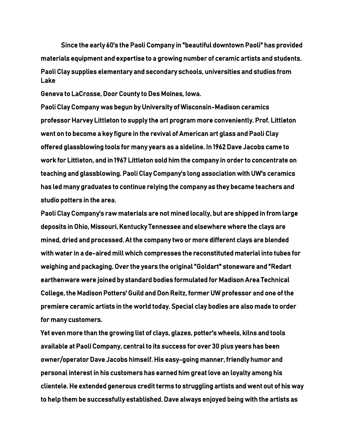Since the early 60's the Paoli Company in "beautiful downtown Paoli" has provided materials equipment and expertise to a growing number of ceramic artists and students. Paoli Clay supplies elementary and secondary schools, universities and studios from Lake

Geneva to LaCrosse, Door County to Des Moines, Iowa.

Paoli Clay Company was begun by University of Wisconsin-Madison ceramics professor Harvey Littleton to supply the art program more conveniently. Prof. Littleton went on to become a key figure in the revival of American art glass and Paoli Clay offered glassblowing tools for many years as a sideline. In 1962 Dave Jacobs came to work for Littleton, and in 1967 Littleton sold him the company in order to concentrate on teaching and glassblowing. Paoli Clay Company's long association with UW's ceramics has led many graduates to continue relying the company as they became teachers and studio potters in the area.

Paoli Clay Company's raw materials are not mined locally, but are shipped in from large deposits in Ohio, Missouri, Kentucky Tennessee and elsewhere where the clays are mined, dried and processed. At the company two or more different clays are blended with water in a de-aired mill which compresses the reconstituted material into tubes for weighing and packaging. Over the years the original "Goldart" stoneware and "Redart earthenware were joined by standard bodies formulated for Madison Area Technical College, the Madison Potters' Guild and Don Reitz, former UW professor and one of the premiere ceramic artists in the world today. Special clay bodies are also made to order for many customers.

Yet even more than the growing list of clays, glazes, potter's wheels, kilns and tools available at Paoli Company, central to its success for over 30 plus years has been owner/operator Dave Jacobs himself. His easy-going manner, friendly humor and personal interest in his customers has earned him great love an loyalty among his clientele. He extended generous credit terms to struggling artists and went out of his way to help them be successfully established. Dave always enjoyed being with the artists as